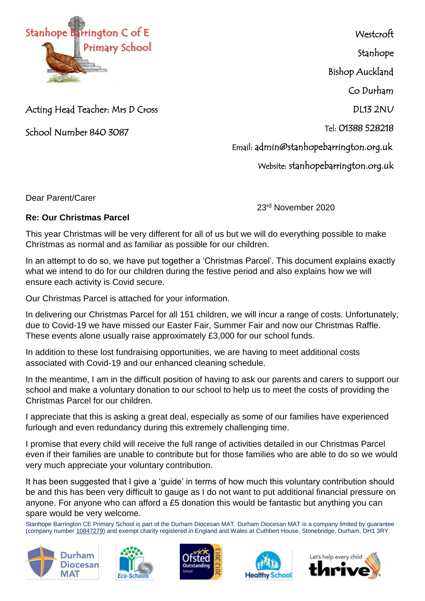

**Westcroft** Stanhope Bishop Auckland Co Durham DL13 2NU Tel: 01388 528218 Email: admin@stanhopebarrington.org.uk

Website: stanhopebarrington.org.uk

Acting Head Teacher: Mrs D Cross

School Number 840 3087

Dear Parent/Carer

23rd November 2020

## **Re: Our Christmas Parcel**

This year Christmas will be very different for all of us but we will do everything possible to make Christmas as normal and as familiar as possible for our children.

In an attempt to do so, we have put together a 'Christmas Parcel'. This document explains exactly what we intend to do for our children during the festive period and also explains how we will ensure each activity is Covid secure.

Our Christmas Parcel is attached for your information.

In delivering our Christmas Parcel for all 151 children, we will incur a range of costs. Unfortunately, due to Covid-19 we have missed our Easter Fair, Summer Fair and now our Christmas Raffle. These events alone usually raise approximately £3,000 for our school funds.

In addition to these lost fundraising opportunities, we are having to meet additional costs associated with Covid-19 and our enhanced cleaning schedule.

In the meantime, I am in the difficult position of having to ask our parents and carers to support our school and make a voluntary donation to our school to help us to meet the costs of providing the Christmas Parcel for our children.

I appreciate that this is asking a great deal, especially as some of our families have experienced furlough and even redundancy during this extremely challenging time.

I promise that every child will receive the full range of activities detailed in our Christmas Parcel even if their families are unable to contribute but for those families who are able to do so we would very much appreciate your voluntary contribution.

It has been suggested that I give a 'guide' in terms of how much this voluntary contribution should be and this has been very difficult to gauge as I do not want to put additional financial pressure on anyone. For anyone who can afford a £5 donation this would be fantastic but anything you can spare would be very welcome.

Stanhope Barrington CE Primary School is part of the Durham Diocesan MAT. Durham Diocesan MAT is a company limited by guarantee (company number [10847279\)](tel:10847279) and exempt charity registered in England and Wales at Cuthbert House, Stonebridge, Durham, DH1 3RY.